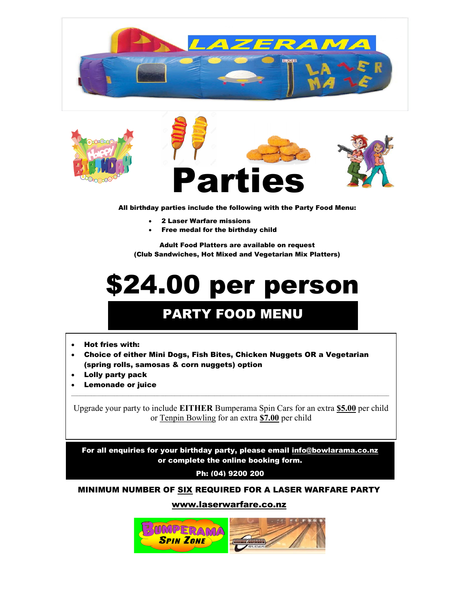





All birthday parties include the following with the Party Food Menu:

- 2 Laser Warfare missions
- Free medal for the birthday child

Adult Food Platters are available on request (Club Sandwiches, Hot Mixed and Vegetarian Mix Platters)

## \$24.00 per person

## PARTY FOOD MENU

- Hot fries with:
- Choice of either Mini Dogs, Fish Bites, Chicken Nuggets OR a Vegetarian (spring rolls, samosas & corn nuggets) option
- Lolly party pack
- Lemonade or juice

Upgrade your party to include EITHER Bumperama Spin Cars for an extra \$5.00 per child or Tenpin Bowling for an extra \$7.00 per child

 $\mathcal{L}_\text{max}$ 

For all enquiries for your birthday party, please email info@bowlarama.co.nz or complete the online booking form.

Ph: (04) 9200 200

MINIMUM NUMBER OF SIX REQUIRED FOR A LASER WARFARE PARTY

## www.laserwarfare.co.nz